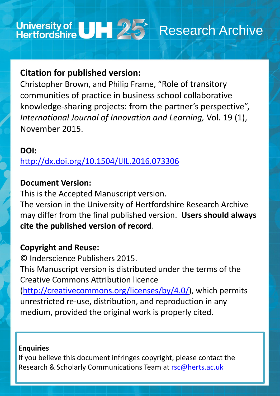

# **Citation for published version:**

Christopher Brown, and Philip Frame, "Role of transitory communities of practice in business school collaborative knowledge-sharing projects: from the partner's perspective", *International Journal of Innovation and Learning,* Vol. 19 (1), November 2015.

## **DOI:**

<http://dx.doi.org/10.1504/IJIL.2016.073306>

## **Document Version:**

This is the Accepted Manuscript version. The version in the University of Hertfordshire Research Archive

may differ from the final published version. **Users should always cite the published version of record**.

# **Copyright and Reuse:**

© Inderscience Publishers 2015.

This Manuscript version is distributed under the terms of the Creative Commons Attribution licence

(<http://creativecommons.org/licenses/by/4.0/>), which permits

unrestricted re-use, distribution, and reproduction in any medium, provided the original work is properly cited.

## **Enquiries**

## If you believe this document infringes copyright, please contact the Research & Scholarly Communications Team at [rsc@herts.ac.uk](mailto:rsc@herts.ac.uk)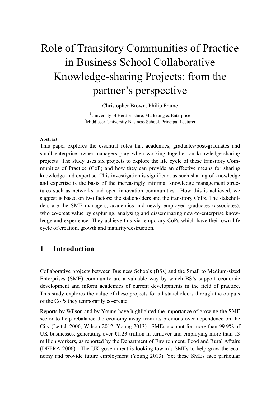# Role of Transitory Communities of Practice in Business School Collaborative Knowledge-sharing Projects: from the partner's perspective

Christopher Brown, Philip Frame

<sup>1</sup>University of Hertfordshire, Marketing & Enterprise <sup>2</sup>Middlesex University Business School, Principal Lecturer

#### **Abstract**

This paper explores the essential roles that academics, graduates/post-graduates and small enterprise owner-managers play when working together on knowledge-sharing projects The study uses six projects to explore the life cycle of these transitory Communities of Practice (CoP) and how they can provide an effective means for sharing knowledge and expertise. This investigation is significant as such sharing of knowledge and expertise is the basis of the increasingly informal knowledge management structures such as networks and open innovation communities. How this is achieved, we suggest is based on two factors: the stakeholders and the transitory CoPs. The stakeholders are the SME managers, academics and newly employed graduates (associates), who co-creat value by capturing, analysing and disseminating new-to-enterprise knowledge and experience. They achieve this via temporary CoPs which have their own life cycle of creation, growth and maturity/destruction.

## **1 Introduction**

Collaborative projects between Business Schools (BSs) and the Small to Medium-sized Enterprises (SME) community are a valuable way by which BS's support economic development and inform academics of current developments in the field of practice. This study explores the value of these projects for all stakeholders through the outputs of the CoPs they temporarily co-create.

Reports by Wilson and by Young have highlighted the importance of growing the SME sector to help rebalance the economy away from its previous over-dependence on the City (Leitch 2006; Wilson 2012; Young 2013). SMEs account for more than 99.9% of UK businesses, generating over £1.23 trillion in turnover and employing more than 13 million workers, as reported by the Department of Environment, Food and Rural Affairs (DEFRA 2006). The UK government is looking towards SMEs to help grow the economy and provide future employment (Young 2013). Yet these SMEs face particular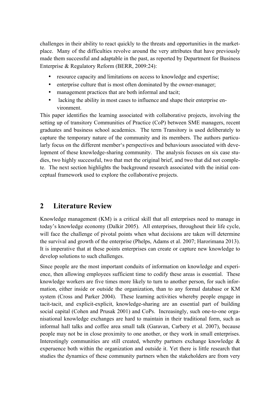challenges in their ability to react quickly to the threats and opportunities in the marketplace. Many of the difficulties revolve around the very attributes that have previously made them successful and adaptable in the past, as reported by Department for Business Enterprise & Regulatory Reform (BERR, 2009:24):

- resource capacity and limitations on access to knowledge and expertise;
- enterprise culture that is most often dominated by the owner-manager;
- management practices that are both informal and tacit;
- lacking the ability in most cases to influence and shape their enterprise environment.

This paper identifies the learning associated with collaborative projects, involving the setting up of transitory Communities of Practice (CoP) between SME managers, recent graduates and business school academics. The term Transitory is used deliberately to capture the temporary nature of the community and its members. The authors particularly focus on the different member's perspectives and behaviours associated with development of these knowledge-sharing community. The analysis focuses on six case studies, two highly successful, two that met the original brief, and two that did not complete. The next section highlights the background research associated with the initial conceptual framework used to explore the collaborative projects.

## **2 Literature Review**

Knowledge management (KM) is a critical skill that all enterprises need to manage in today's knowledge economy (Dalkir 2005). All enterprises, throughout their life cycle, will face the challenge of pivotal points when what decisions are taken will determine the survival and growth of the enterprise (Phelps, Adams et al. 2007; Harorimana 2013). It is imperative that at these points enterprises can create or capture new knowledge to develop solutions to such challenges.

Since people are the most important conduits of information on knowledge and experience, then allowing employees sufficient time to codify these areas is essential. These knowledge workers are five times more likely to turn to another person, for such information, either inside or outside the organization, than to any formal database or KM system (Cross and Parker 2004). These learning activities whereby people engage in tacit-tacit, and explicit-explicit, knowledge-sharing are an essential part of building social capital (Cohen and Prusak 2001) and CoPs. Increasingly, such one-to-one organisational knowledge exchanges are hard to maintain in their traditional form, such as informal hall talks and coffee area small talk (Garavan, Carbery et al. 2007), because people may not be in close proximity to one another, or they work in small enterprises. Interestingly communities are still created, whereby partners exchange knowledge  $\&$ experuence both within the organization and outside it. Yet there is little research that studies the dynamics of these community partners when the stakeholders are from very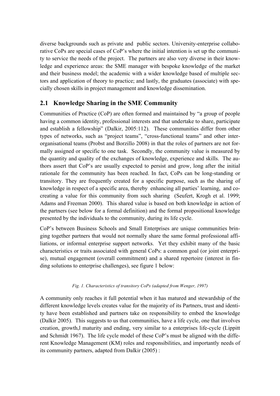diverse backgrounds such as private and public sectors. University-enterprise collaborative CoPs are special cases of CoP's where the initial intention is set up the community to service the needs of the project. The partners are also very diverse in their knowledge and experience areas: the SME manager with bespoke knowledge of the market and their business model; the academic with a wider knowledge based of multiple sectors and application of theory to practice; and lastly, the graduates (associate) with specially chosen skills in project management and knowledge dissemination.

### **2.1 Knowledge Sharing in the SME Community**

Communities of Practice (CoP) are often formed and maintained by "a group of people having a common identity, professional interests and that undertake to share, participate and establish a fellowship" (Dalkir, 2005:112). These communities differ from other types of networks, such as "project teams", "cross-functional teams" and other interorganisational teams (Probst and Borzillo 2008) in that the roles of partners are not formally assigned or specific to one task. Secondly, the community value is measured by the quantity and quality of the exchanges of knowledge, experience and skills. The authors assert that CoP's are usually expected to persist and grow, long after the initial rationale for the community has been reached. In fact, CoPs can be long-standing or transitory. They are frequently created for a specific purpose, such as the sharing of knowledge in respect of a specific area, thereby enhancing all parties' learning, and cocreating a value for this community from such sharing (Seufert, Krogh et al. 1999; Adams and Freeman 2000). This shared value is based on both knowledge in action of the partners (see below for a formal definition) and the formal propositional knowledge presented by the individuals to the community, during its life cycle.

CoP's between Business Schools and Small Enterprises are unique communities bringing together partners that would not normally share the same formal professional affiliations, or informal enterprise support networks. Yet they exhibit many of the basic characteristics or traits associated with general CoPs: a common goal (or joint enterprise), mutual engagement (overall commitment) and a shared repertoire (interest in finding solutions to enterprise challenges), see figure 1 below:

#### *Fig. 1. Characteristics of transitory CoPs (adapted from Wenger, 1997)*

A community only reaches it full potential when it has matured and stewardship of the different knowledge levels creates value for the majority of its Partners, trust and identity have been established and partners take on responsibility to embed the knowledge (Dalkir 2005). This suggests to us that communities, have a life cycle, one that involves creation, growth,l maturity and ending, very similar to a enterprises life-cycle (Lippitt and Schmidt 1967). The life cycle model of these CoP's must be aligned with the different Knowledge Management (KM) roles and responsibilities, and importantly needs of its community partners, adapted from Dalkir (2005) :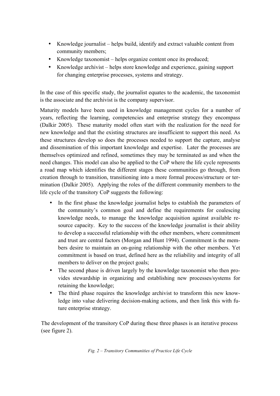- Knowledge journalist helps build, identify and extract valuable content from community members;
- Knowledge taxonomist helps organize content once its produced;
- Knowledge archivist helps store knowledge and experience, gaining support for changing enterprise processes, systems and strategy.

In the case of this specific study, the journalist equates to the academic, the taxonomist is the associate and the archivist is the company supervisor.

Maturity models have been used in knowledge management cycles for a number of years, reflecting the learning, competencies and enterprise strategy they encompass (Dalkir 2005). These maturity model often start with the realization for the need for new knowledge and that the existing structures are insufficient to support this need. As these structures develop so does the processes needed to support the capture, analyse and dissemination of this important knowledge and expertise. Later the processes are themselves optimized and refined, sometimes they may be terminated as and when the need changes. This model can also be applied to the CoP where the life cycle represents a road map which identifies the different stages these communities go through, from creation through to transition, transitioning into a more formal process/structure or termination (Dalkir 2005). Applying the roles of the different community members to the life cycle of the transitory CoP suggests the following:

- In the first phase the knowledge journalist helps to establish the parameters of the community's common goal and define the requirements for coalescing knowledge needs, to manage the knowledge acquisition against available resource capacity. Key to the success of the knowledge journalist is their ability to develop a successful relationship with the other members, where commitment and trust are central factors (Morgan and Hunt 1994). Commitment is the members desire to maintain an on-going relationship with the other members. Yet commitment is based on trust, defined here as the reliability and integrity of all members to deliver on the project goals;
- The second phase is driven largely by the knowledge taxonomist who then provides stewardship in organizing and establishing new processes/systems for retaining the knowledge;
- The third phase requires the knowledge archivist to transform this new knowledge into value delivering decision-making actions, and then link this with future enterprise strategy.

The development of the transitory CoP during these three phases is an iterative process (see figure 2).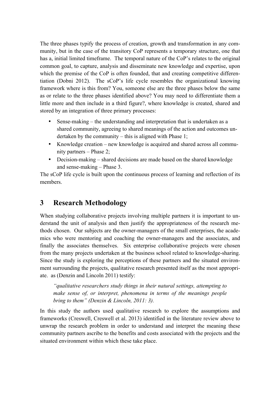The three phases typify the process of creation, growth and transformation in any community, but in the case of the transitory CoP represents a temporary structure, one that has a, initial limited timeframe. The temporal nature of the CoP's relates to the original common goal, to capture, analysis and disseminate new knowledge and expertise, upon which the premise of the CoP is often founded, that and creating competitive differentiation (Dobni 2012). The sCoP's life cycle resembles the organizational knowing framework where is this from? You, someone else are the three phases below the same as or relate to the three phases identified above? You may need to differentiate them a little more and then include in a third figure?, where knowledge is created, shared and stored by an integration of three primary processes:

- Sense-making the understanding and interpretation that is undertaken as a shared community, agreeing to shared meanings of the action and outcomes undertaken by the community – this is aligned with Phase 1;
- Knowledge creation new knowledge is acquired and shared across all community partners – Phase 2;
- Decision-making shared decisions are made based on the shared knowledge and sense-making – Phase 3.

The sCoP life cycle is built upon the continuous process of learning and reflection of its members.

## **3 Research Methodology**

When studying collaborative projects involving multiple partners it is important to understand the unit of analysis and then justify the appropriateness of the research methods chosen. Our subjects are the owner-managers of the small enterprises, the academics who were mentoring and coaching the owner-managers and the associates, and finally the associates themselves. Six enterprise collaborative projects were chosen from the many projects undertaken at the business school related to knowledge-sharing. Since the study is exploring the perceptions of these partners and the situated environment surrounding the projects, qualitative research presented itself as the most appropriate. as (Denzin and Lincoln 2011) testify:

*"qualitative researchers study things in their natural settings, attempting to make sense of, or interpret, phenomena in terms of the meanings people bring to them" (Denzin & Lincoln, 2011: 3).*

In this study the authors used qualitative research to explore the assumptions and frameworks (Creswell, Creswell et al. 2013) identified in the literature review above to unwrap the research problem in order to understand and interpret the meaning these community partners ascribe to the benefits and costs associated with the projects and the situated environment within which these take place.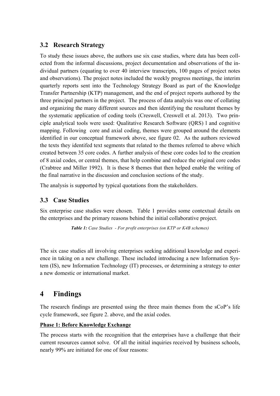### **3.2 Research Strategy**

To study these issues above, the authors use six case studies, where data has been collected from the informal discussions, project documentation and observations of the individual partners (equating to over 40 interview transcripts, 100 pages of project notes and observations). The project notes included the weekly progress meetings, the interim quarterly reports sent into the Technology Strategy Board as part of the Knowledge Transfer Partnership (KTP) management, and the end of project reports authored by the three principal partners in the project. The process of data analysis was one of collating and organizing the many different sources and then identifying the resultatnt themes by the systematic application of coding tools (Creswell, Creswell et al. 2013). Two principle analytical tools were used: Qualitative Research Software (QRS) l and cognitive mapping. Following core and axial coding, themes were grouped around the elements identified in our conceptual framework above, see figure 02. As the authors reviewed the texts they identifed text segments that related to the themes referred to above which created between 35 core codes. A further analysis of these core codes led to the creation of 8 axial codes, or central themes, that help combine and reduce the original core codes (Crabtree and Miller 1992). It is these 8 themes that then helped enable the writing of the final narrative in the discussion and conclusion sections of the study.

The analysis is supported by typical quotations from the stakeholders.

### **3.3 Case Studies**

Six enterprise case studies were chosen. Table 1 provides some contextual details on the enterprises and the primary reasons behind the initial collaborative project.

*Table 1: Case Studies - For profit enterprises (on KTP or K4B schemes)*

The six case studies all involving enterprises seeking additional knowledge and experience in taking on a new challenge. These included introducing a new Information System (IS), new Information Technology (IT) processes, or determining a strategy to enter a new domestic or international market.

## **4 Findings**

The research findings are presented using the three main themes from the sCoP's life cycle framework, see figure 2. above, and the axial codes.

#### **Phase 1: Before Knowledge Exchange**

The process starts with the recognition that the enterprises have a challenge that their current resources cannot solve. Of all the initial inquiries received by business schools, nearly 99% are initiated for one of four reasons: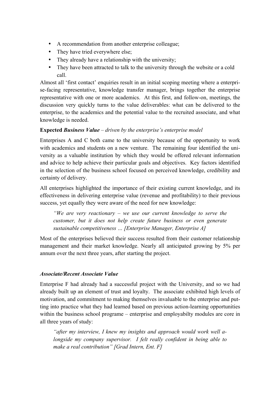- A recommendation from another enterprise colleague;
- They have tried everywhere else;
- They already have a relationship with the university;
- They have been attracted to talk to the university through the website or a cold call.

Almost all 'first contact' enquiries result in an initial scoping meeting where a enterprise-facing representative, knowledge transfer manager, brings together the enterprise representative with one or more academics. At this first, and follow-on, meetings, the discussion very quickly turns to the value deliverables: what can be delivered to the enterprise, to the academics and the potential value to the recruited associate, and what knowledge is needed.

#### **Expected** *Business Value – driven by the enterprise's enterprise model*

Enterprises A and C both came to the university because of the opportunity to work with academics and students on a new venture. The remaining four identified the university as a valuable institution by which they would be offered relevant information and advice to help achieve their particular goals and objectives. Key factors identified in the selection of the business school focused on perceived knowledge, credibility and certainty of delivery.

All enterprises highlighted the importance of their existing current knowledge, and its effectiveness in delivering enterprise value (revenue and profitability) to their previous success, yet equally they were aware of the need for new knowledge:

*"We are very reactionary – we use our current knowledge to serve the customer, but it does not help create future business or even generate sustainable competitiveness … [Enterprise Manager, Enterprise A]*

Most of the enterprises believed their success resulted from their customer relationship management and their market knowledge. Nearly all anticipated growing by 5% per annum over the next three years, after starting the project.

#### *Associate/Recent Associate Value*

Enterprise F had already had a successful project with the University, and so we had already built up an element of trust and loyalty. The associate exhibited high levels of motivation, and commitment to making themselves invaluable to the enterprise and putting into practice what they had learned based on previous action-learning opportunities within the business school programe – enterprise and employabilty modules are core in all three years of study:

*"after my interview, I knew my insights and approach would work well alongside my company supervisor. I felt really confident in being able to make a real contribution" [Grad Intern, Ent. F]*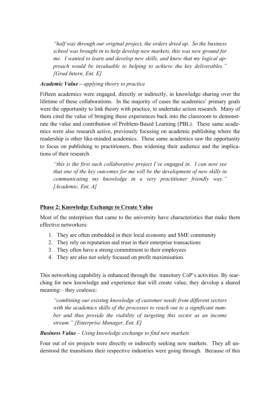*"half way through our original project, the orders dried up. So the business school was brought in to help develop new markets, this was new ground for me. I wanted to learn and develop new skills, and knew that my logical approach would be invaluable to helping to achieve the key deliverables." [Grad Intern, Ent. E]*

#### *Academic Value – applying theory to practice*

Fifteen academics were engaged, directly or indirectly, in knowledge sharing over the lifetime of these collaborations. In the majority of cases the academics' primary goals were the opportunity to link theory with practice, to undertake action research. Many of them cited the value of bringing these experiences back into the classroom to demonstrate the value and contribution of Problem-Based Learning (PBL). These same academics were also research active, previously focusing on academic publishing where the readership is other like-minded academics. These same academics saw the opportunity to focus on publishing to practitioners, thus widening their audience and the implications of their research.

*"this is the first such collaborative project I've engaged in. I can now see that one of the key outcomes for me will be the development of new skills in communicating my knowledge in a very practitioner friendly way." [Academic, Ent. A]*

#### **Phase 2: Knowledge Exchange to Create Value**

Most of the enterprises that came to the university have characteristics that make them effective networkers:

- 1. They are often embedded in their local economy and SME community
- 2. They rely on reputation and trust in their enterprise transactions
- 3. They often have a strong commitment to their employees
- 4. They are also not solely focused on profit maximisation.

This networking capability is enhanced through the transitory CoP's activities. By searching for new knowledge and experience that will create value, they develop a shared meaning:– they coalesce:

*"combining our existing knowledge of customer needs from different sectors with the academics skills of the processes to reach out to a significant number and thus provide the viability of targeting this sector as an income stream." [Enterprise Manager, Ent. E]*

#### *Business Value – Using knowledge exchange to find new markets*

Four out of six projects were directly or indirectly seeking new markets. They all understood the transitions their respective industries were going through. Because of this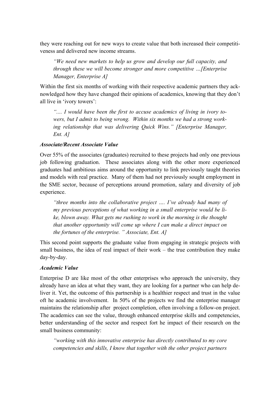they were reaching out for new ways to create value that both increased their competitiveness and delivered new income streams.

*"We need new markets to help us grow and develop our full capacity, and through these we will become stronger and more competitive …[Enterprise Manager, Enterprise A]*

Within the first six months of working with their respective academic partners they acknowledged how they have changed their opinions of academics, knowing that they don't all live in 'ivory towers':

*".... I would have been the first to accuse academics of living in ivory towers, but I admit to being wrong. Within six months we had a strong working relationship that was delivering Quick Wins." [Enterprise Manager, Ent. A]*

#### *Associate/Recent Associate Value*

Over 55% of the associates (graduates) recruited to these projects had only one previous job following graduation. These associates along with the other more experienced graduates had ambitious aims around the opportunity to link previously taught theories and models with real practice. Many of them had not previously sought employment in the SME sector, because of perceptions around promotion, salary and diversity of job experience.

*"three months into the collaborative project …. I've already had many of my previous perceptions of what working in a small enterprise would be like, blown away. What gets me rushing to work in the morning is the thought that another opportunity will come up where I can make a direct impact on the fortunes of the enterprise. " Associate, Ent. A]*

This second point supports the graduate value from engaging in strategic projects with small business, the idea of real impact of their work – the true contribution they make day-by-day.

#### *Academic Value*

Enterprise D are like most of the other enterprises who approach the university, they already have an idea at what they want, they are looking for a partner who can help deliver it. Yet, the outcome of this partnership is a healthier respect and trust in the value oft he academic involvement. In 50% of the projects we find the enterprise manager maintains the relationship after project completion, often involving a follow-on project. The academics can see the value, through enhanced enterprise skills and competencies, better understanding of the sector and respect fort he impact of their research on the small business community:

*"working with this innovative enterprise has directly contributed to my core competencies and skills, I know that together with the other project partners*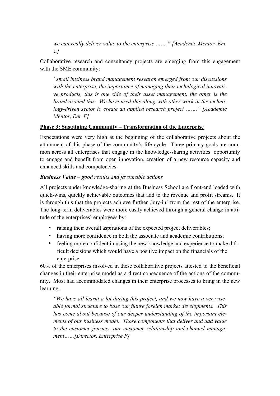*we can really deliver value to the enterprise ……." [Academic Mentor, Ent. C]*

Collaborative research and consultancy projects are emerging from this engagement with the SME community:

*"small business brand management research emerged from our discussions with the enterprise, the importance of managing their technlogical innovative products, this is one side of their asset management, the other is the brand around this. We have used this along with other work in the technology-driven sector to create an applied research project ……." [Academic Mentor, Ent. F]*

#### **Phase 3: Sustaining Community – Transformation of the Enterprise**

Expectations were very high at the beginning of the collaborative projects about the attainment of this phase of the community's life cycle. Three primary goals are common across all enterprises that engage in the knowledge-sharing activities: opportunity to engage and benefit from open innovation, creation of a new resource capacity and enhanced skills and competencies.

#### *Business Value – good results and favourable actions*

All projects under knowledge-sharing at the Business School are front-end loaded with quick-wins, quickly achievable outcomes that add to the revenue and profit streams. It is through this that the projects achieve further, buy-in' from the rest of the enterprise. The long-term deliverables were more easily achieved through a general change in attitude of the enterprises' employees by:

- raising their overall aspirations of the expected project deliverables;
- having more confidence in both the associate and academic contributions;
- feeling more confident in using the new knowledge and experience to make difficult decisions which would have a positive impact on the financials of the enterprise

60% of the enterprises involved in these collaborative projects attested to the beneficial changes in their enterprise model as a direct consequence of the actions of the community. Most had accommodated changes in their enterprise processes to bring in the new learning.

*"We have all learnt a lot during this project, and we now have a very useable formal structure to base our future foreign market developments. This has come about because of our deeper understanding of the important elements of our business model. Those components that deliver and add value to the customer journey, our customer relationship and channel management……[Director, Enterprise F]*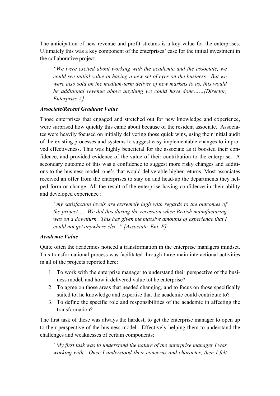The anticipation of new revenue and profit streams is a key value for the enterprises. Ultimately this was a key component of the enterprises' case for the initial investment in the collaborative project.

*"We were excited about working with the academic and the associate, we could see initial value in having a new set of eyes on the business. But we were also sold on the medium-term deliver of new markets to us, this would be additional revenue above anything we could have done……[Director, Enterprise A]*

#### *Associate/Recent Graduate Value*

Those enterprises that engaged and stretched out for new knowledge and experience, were surprised how quickly this came about because of the resident associate. Associates were heavily focused on initially delivering those quick wins, using their initial audit of the existing processes and systems to suggest easy implementable changes to improved effectiveness. This was highly beneficial for the associate as it boosted their confidence, and provided evidence of the value of their contribution to the enterprise. A secondary outcome of this was a confidence to suggest more risky changes and additions to the business model, one's that would deliverable higher returns. Most associates received an offer from the enterprises to stay on and head-up the departments they helped form or change. All the result of the enterprise having confidence in their ability and developed experience :

*"my satisfaction levels are extremely high with regards to the outcomes of the project …. We did this during the recession when British manufacturing was on a downturn. This has given me massive amounts of experience that I could not get anywhere else. " [Associate, Ent. E]*

#### *Academic Value*

Quite often the academics noticed a transformation in the enterprise managers mindset. This transformational process was facilitated through three main interactional activities in all of the projects reported here:

- 1. To work with the enterprise manager to understand their perspective of the business model, and how it delivered value tot he enterprise?
- 2. To agree on those areas that needed changing, and to focus on those specifically suited tot he knowledge and expertise that the academic could contribute to?
- 3. To define the specific role and responsibilities of the academic in affecting the transformation?

The first task of these was always the hardest, to get the enterprise manager to open up to their perspective of the business model. Effectively helping them to understand the challenges and weaknesses of certain components:

*"My first task was to understand the nature of the enterprise manager I was working with. Once I understood their concerns and character, then I felt*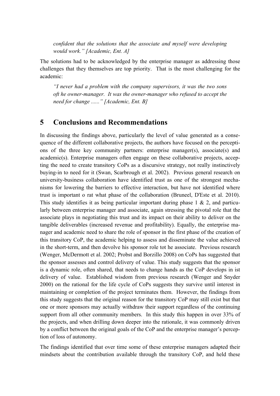*confident that the solutions that the associate and myself were developing would work." [Academic, Ent. A]*

The solutions had to be acknowledged by the enterprise manager as addressing those challenges that they themselves are top priority. That is the most challenging for the academic:

*"I never had a problem with the company supervisors, it was the two sons oft he owner-manager. It was the owner-manager who refused to accept the need for change ......" [Academic, Ent. B]*

## **5 Conclusions and Recommendations**

In discussing the findings above, particularly the level of value generated as a consequence of the different collaborative projects, the authors have focused on the perceptions of the three key community partners: enterprise manager(s), associate(s) and academic(s). Enterprise managers often engage on these collaborative projects, accepting the need to create transitory CoPs as a discursive strategy, not really instinctively buying-in to need for it (Swan, Scarbrough et al. 2002). Previous general research on university-business collaboration have identified trust as one of the strongest mechanisms for lowering the barriers to effective interaction, but have not identified where trust is important o rat what phase of the collaboration (Bruneel, D'Este et al. 2010). This study identifies it as being particular important during phase  $1 \& 2$ , and particularly between enterprise manager and associate, again stressing the pivotal role that the associate plays in negotiating this trust and its impact on their ability to deliver on the tangible deliverables (increased revenue and profitability). Equally, the enterprise manager and academic need to share the role of sponsor in the first phase of the creation of this transitory CoP, the academic helping to assess and disseminate the value achieved in the short-term, and then devolve his sponsor role tot he associate. Previous research (Wenger, McDermott et al. 2002; Probst and Borzillo 2008) on CoPs has suggested that the sponsor assesses and control delivery of value. This study suggests that the sponsor is a dynamic role, often shared, that needs to change hands as the CoP develops in ist delivery of value. Established wisdom from previous research (Wenger and Snyder 2000) on the rational for the life cycle of CoPs suggests they survive until interest in maintaining or completion of the project terminates them. However, the findings from this study suggests that the original reason for the transitory CoP may still exist but that one or more sponsors may actually withdraw their support regardless of the continuing support from all other community members. In this study this happen in over 33% of the projects, and when drilling down deeper into the rationale, it was commonly driven by a conflict between the original goals of the CoP and the enterprise manager's perception of loss of autonomy.

The findings identified that over time some of these enterprise managers adapted their mindsets about the contribution available through the transitory CoP, and held these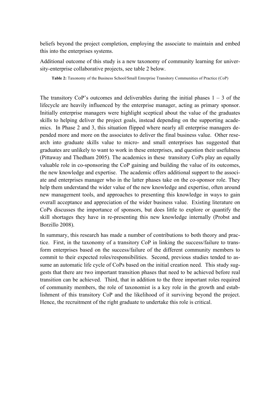beliefs beyond the project completion, employing the associate to maintain and embed this into the enterprises systems.

Additional outcome of this study is a new taxonomy of community learning for university-enterprise collaborative projects, see table 2 below.

**Table 2:** Taxonomy of the Business School/Small Enterprise Transitory Communities of Practice (CoP)

The transitory CoP's outcomes and deliverables during the initial phases  $1 - 3$  of the lifecycle are heavily influenced by the enterprise manager, acting as primary sponsor. Initially enterprise managers were highlight sceptical about the value of the graduates skills to helping deliver the project goals, instead depending on the supporting academics. In Phase 2 and 3, this situation flipped where nearly all enterprise managers depended more and more on the associates to deliver the final business value. Other research into graduate skills value to micro- and small enterprises has suggested that graduates are unlikely to want to work in these enterprises, and question their usefulness (Pittaway and Thedham 2005). The academics in these transitory CoPs play an equally valuable role in co-sponsoring the CoP gaining and building the value of its outcomes, the new knowledge and expertise. The academic offers additional support to the associate and enterprises manager who in the latter phases take on the co-sponsor role. They help them understand the wider value of the new knowledge and expertise, often around new management tools, and approaches to presenting this knowledge in ways to gain overall acceptance and appreciation of the wider business value. Existing literature on CoPs discusses the importance of sponsors, but does little to explore or quantify the skill shortages they have in re-presenting this new knowledge internally (Probst and Borzillo 2008).

In summary, this research has made a number of contributions to both theory and practice. First, in the taxonomy of a transitory CoP in linking the success/failure to transform enterprises based on the success/failure of the different community members to commit to their expected roles/responsibilities. Second, previous studies tended to assume an automatic life cycle of CoPs based on the initial creation need. This study suggests that there are two important transition phases that need to be achieved before real transition can be achieved. Third, that in addition to the three important roles required of community members, the role of taxonomist is a key role in the growth and establishment of this transitory CoP and the likelihood of it surviving beyond the project. Hence, the recruitment of the right graduate to undertake this role is critical.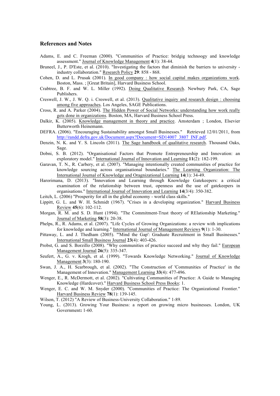#### **References and Notes**

- Adams, E. and C. Freeman (2000). "Communities of Practice: bridgig technoogy and knowledge assessment." Journal of Knowledge Management **4**(1): 38-44.
- Bruneel, J., P. D'Este, et al. (2010). "Investigating the factors that diminish the barriers to university industry collaboration." Research Policy **29**: 858 - 868.
- Cohen, D. and L. Prusak (2001). In good company : how social capital makes organizations work. Boston, Mass. ; [Great Britain], Harvard Business School.
- Crabtree, B. F. and W. L. Miller (1992). Doing Qualitative Research. Newbury Park, CA, Sage Publishers.
- Creswell, J. W., J. W. Q. i. Creswell, et al. (2013). Qualitative inquiry and research design : choosing among five approaches. Los Angeles, SAGE Publications.
- Cross, R. and A. Parker (2004). The Hidden Power of Social Networks: understanding how work really gets done in organizations. Boston, MA, Harvard Business School Press.
- Dalkir, K. (2005). Knowledge management in theory and practice. Amsterdam ; London, Elsevier Butterworth Heinemann.
- DEFRA. (2006). "Encouraging Sustainability amongst Small Businesses." Retrieved 12/01/2011, from http://randd.defra.gov.uk/Document.aspx?Document=SD14007\_3807\_INF.pdf.
- Denzin, N. K. and Y. S. Lincoln (2011). The Sage handbook of qualitative research. Thousand Oaks, Sage.
- Dobni, S. B. (2012). "Organisational Factors that Promote Entrepreneurship and Innovation: an exploratory model." International Journal of Innovation and Learning **11**(2): 182-199.
- Garavan, T. N., R. Carbery, et al. (2007). "Managing intentionally created communities of practice for knowledge sourcing across organisational boundaries." The Learning Organization: The International Journal of Knowledge and Oragnizational Learning **14**(1): 34-49.
- Harorimana, D. (2013). "Innovation and Learning through Knowledge Gatekeepers: a critical examination of the relationship between trust, openness and the use of gatekeepers in organisations." International Journal of Innovation and Learning **14**(3/4): 350-382.
- Leitch, L. (2006) "Prosperity for all in the global economy world class skills."
- Lippitt, G. L. and W. H. Schmidt (1967). "Crises in a developing organization." Harvard Business Review **45**(6): 102-112.
- Morgan, R. M. and S. D. Hunt (1994). "The Commitment-Trust theory of RElationship Marketing." Journal of Marketing **58**(3): 20-38.
- Phelps, R., R. Adams, et al. (2007). "Life Cycles of Growing Organizations: a review with implications for knowledge and learning." International Journal of Management Reviews **9**(1): 1-30.
- Pittaway, L. and J. Thedham (2005). "'Mind the Gap': Graduate Recruitment in Small Businesses." International Small Business Journal **23**(4): 403-426.
- Probst, G. and S. Borzillo (2008). "Why communities of practice succeed and why they fail." European Management Journal **26**(5): 335-347.
- Seufert, A., G. v. Krogh, et al. (1999). "Towards Knowledge Networking." Journal of Knowledge Management **3**(3): 180-190.
- Swan, J. A., H. Scarbrough, et al. (2002). "The Construction of 'Communities of Practice' in the Management of Innovation." Management Learning **33**(4): 477-496.
- Wenger, E., R. McDermott, et al. (2002). "Cultivating Communities of Practice: A Guide to Managing Knowledge (Hardcover)." Harvard Business School Press Books: 1.
- Wenger, E. C. and W. M. Snyder (2000). "Communities of Practice: The Organizational Frontier." Harvard Business Review **78**(1): 139-145.
- Wilson, T. (2012) "A Review of Business-University Collaboration." 1-89.
- Young, L. (2013). Growing Your Business: a report on growing micro businesses. London, UK Government**:** 1-60.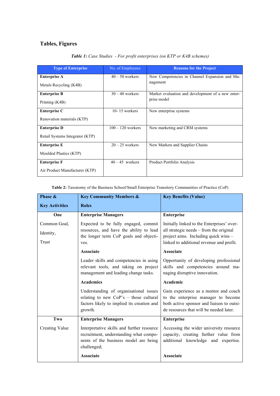#### **Tables, Figures**

| <b>Type of Enterprise</b>       | No. of Employees    | <b>Reasons for the Project</b>                            |
|---------------------------------|---------------------|-----------------------------------------------------------|
| <b>Enterprise A</b>             | $40 - 50$ workers   | New Competencies in Channel Expansion and Ma-<br>nagement |
| Metals Recycling (K4B)          |                     |                                                           |
| <b>Enterprise B</b>             | $30 - 40$ workers   | Market evaluation and development of a new enter-         |
| Printing (K4B)                  |                     | prise model                                               |
| <b>Enterprise C</b>             | 10-15 workers       | New enterprise systems                                    |
| Renovation materials (KTP)      |                     |                                                           |
| <b>Enterprise D</b>             | $100 - 120$ workers | New marketing and CRM systems                             |
| Retail Systems Integrator (KTP) |                     |                                                           |
| <b>Enterprise E</b>             | $20 - 25$ workers   | New Markets and Supplier Chains                           |
| Moulded Plastics (KTP)          |                     |                                                           |
| <b>Enterprise F</b>             | $40 - 45$ workers   | Product Portfolio Analysis                                |
| Air Product Manufacturer (KTP)  |                     |                                                           |

#### *Table 1: Case Studies - For profit enterprises (on KTP or K4B schemes)*

| Phase &                            | <b>Key Community Members &amp;</b>                                                                                                           | <b>Key Benefits (Value)</b>                                                                                                                                               |
|------------------------------------|----------------------------------------------------------------------------------------------------------------------------------------------|---------------------------------------------------------------------------------------------------------------------------------------------------------------------------|
| <b>Key Activities</b>              | <b>Roles</b>                                                                                                                                 |                                                                                                                                                                           |
| One                                | <b>Enterprise Managers</b>                                                                                                                   | <b>Enterprise</b>                                                                                                                                                         |
| Common Goal,<br>Identity,<br>Trust | Expected to be fully engaged, commit<br>resources, and have the ability to lead<br>the longer term CoP goals and objecti-<br>ves.            | Initially linked to the Enterprises' over-<br>all strategic needs – from the original<br>project aims. Including quick wins -<br>linked to additional revenue and profit. |
|                                    | <b>Associate</b>                                                                                                                             | <b>Associate</b>                                                                                                                                                          |
|                                    | Leader skills and competencies in using<br>relevant tools, and taking on project<br>management and leading change tasks.                     | Opportunity of developing professional<br>skills and competencies around ma-<br>naging disruptive innovation.                                                             |
|                                    | <b>Academics</b>                                                                                                                             | Academic                                                                                                                                                                  |
|                                    | Understanding of organisational issues<br>relating to new CoP's - those cultural<br>factors likely to implied its creation and<br>growth.    | Gain experience as a mentor and coach<br>to the enterprise manager to become<br>both active sponsor and liaison to outsi-<br>de resources that will be needed later.      |
| Two                                | <b>Enterprise Managers</b>                                                                                                                   | <b>Enterprise</b>                                                                                                                                                         |
| <b>Creating Value</b>              | Interpretative skills and further resource<br>recruitment, understanding what compo-<br>nents of the business model are being<br>challenged; | Accessing the wider university resource<br>capacity, creating further value from<br>additional knowledge and expertise.                                                   |
|                                    | <b>Associate</b>                                                                                                                             | <b>Associate</b>                                                                                                                                                          |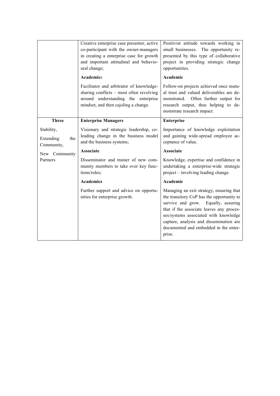|                                                                           | Creative enterprise case presenter, active<br>co-participant with the owner-managers<br>in creating a enterprise case for growth<br>and important attitudinal and behavio-<br>ural change; | Positivist attitude towards working in<br>small businesses. The opportunity re-<br>presented by this type of collaborative<br>project in providing strategic change<br>opportunities.                                                                                                                           |
|---------------------------------------------------------------------------|--------------------------------------------------------------------------------------------------------------------------------------------------------------------------------------------|-----------------------------------------------------------------------------------------------------------------------------------------------------------------------------------------------------------------------------------------------------------------------------------------------------------------|
|                                                                           | <b>Academics</b>                                                                                                                                                                           | Academic                                                                                                                                                                                                                                                                                                        |
|                                                                           | Facilitator and arbitrator of knowledge-<br>sharing conflicts – most often revolving<br>around understanding the enterprise<br>mindset, and then cajoling a change.                        | Follow-on projects achieved once mutu-<br>al trust and valued deliverables are de-<br>Often further output for<br>monstrated.<br>research output, thus helping to de-<br>monstrate research impact.                                                                                                             |
| <b>Three</b>                                                              | <b>Enterprise Managers</b>                                                                                                                                                                 | <b>Enterprise</b>                                                                                                                                                                                                                                                                                               |
| Stability,<br>Extending<br>the<br>Community,<br>New Community<br>Partners | Visionary and strategic leadership, co-<br>leading change in the business model<br>and the business systems;                                                                               | Importance of knowledge exploitation<br>and gaining wide-spread employee ac-<br>ceptance of value.                                                                                                                                                                                                              |
|                                                                           | <b>Associate</b>                                                                                                                                                                           | <b>Associate</b>                                                                                                                                                                                                                                                                                                |
|                                                                           | Disseminator and trainer of new com-<br>munity members to take over key func-<br>tions/roles;                                                                                              | Knowledge, expertise and confidence in<br>undertaking a enterprise-wide strategic<br>project – involving leading change.                                                                                                                                                                                        |
|                                                                           | <b>Academics</b>                                                                                                                                                                           | Academic                                                                                                                                                                                                                                                                                                        |
|                                                                           | Further support and advice on opportu-<br>nities for enterprise growth.                                                                                                                    | Managing an exit strategy, ensuring that<br>the transitory CoP has the opportunity to<br>survive and grow. Equally, assuring<br>that if the associate leaves any proces-<br>ses/systems associated with knowledge<br>capture, analysis and dissemination are<br>documented and embedded in the enter-<br>prise. |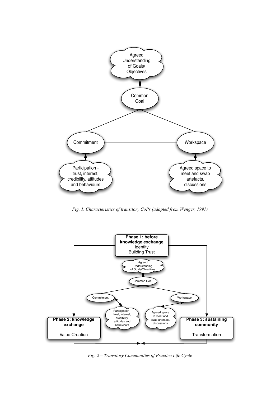

*Fig. 1. Characteristics of transitory CoPs (adapted from Wenger, 1997)*



*Fig. 2 – Transitory Communities of Practice Life Cycle*